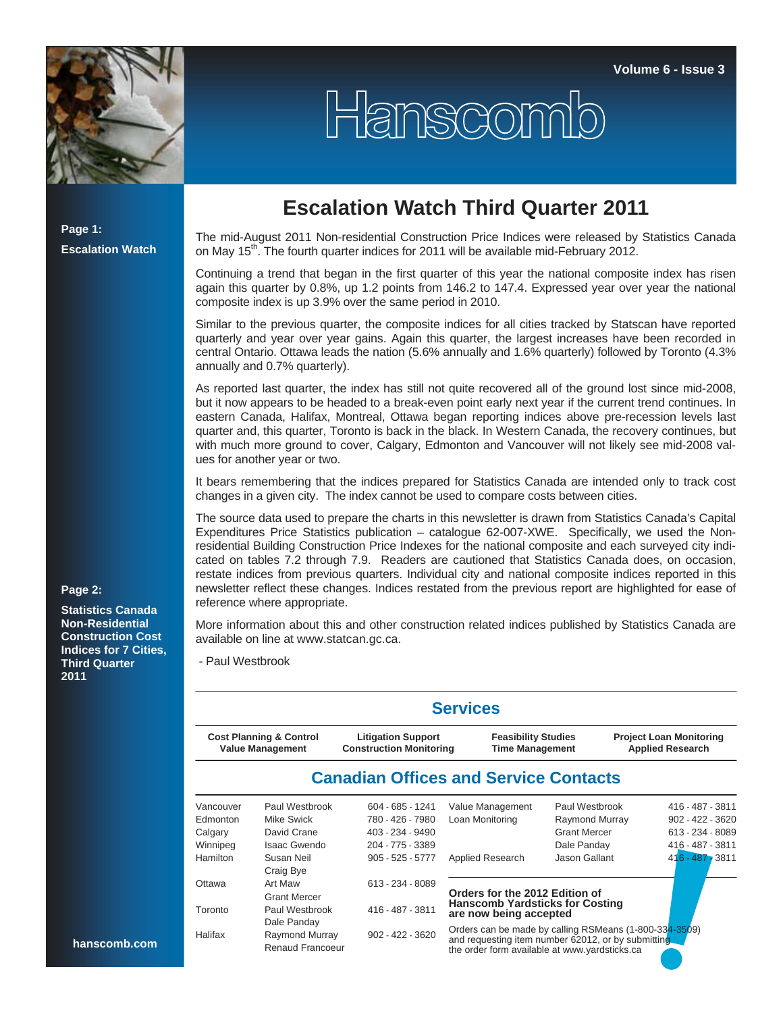

## Hanscomi

**Page 1: Escalation Watch**

## **Escalation Watch Third Quarter 2011**

The mid-August 2011 Non-residential Construction Price Indices were released by Statistics Canada on May 15<sup>th</sup>. The fourth quarter indices for 2011 will be available mid-February 2012.

Continuing a trend that began in the first quarter of this year the national composite index has risen again this quarter by 0.8%, up 1.2 points from 146.2 to 147.4. Expressed year over year the national composite index is up 3.9% over the same period in 2010.

Similar to the previous quarter, the composite indices for all cities tracked by Statscan have reported quarterly and year over year gains. Again this quarter, the largest increases have been recorded in central Ontario. Ottawa leads the nation (5.6% annually and 1.6% quarterly) followed by Toronto (4.3% annually and 0.7% quarterly).

As reported last quarter, the index has still not quite recovered all of the ground lost since mid-2008, but it now appears to be headed to a break-even point early next year if the current trend continues. In eastern Canada, Halifax, Montreal, Ottawa began reporting indices above pre-recession levels last quarter and, this quarter, Toronto is back in the black. In Western Canada, the recovery continues, but with much more ground to cover, Calgary, Edmonton and Vancouver will not likely see mid-2008 values for another year or two.

It bears remembering that the indices prepared for Statistics Canada are intended only to track cost changes in a given city. The index cannot be used to compare costs between cities.

The source data used to prepare the charts in this newsletter is drawn from Statistics Canada's Capital Expenditures Price Statistics publication – catalogue 62-007-XWE. Specifically, we used the Nonresidential Building Construction Price Indexes for the national composite and each surveyed city indicated on tables 7.2 through 7.9. Readers are cautioned that Statistics Canada does, on occasion, restate indices from previous quarters. Individual city and national composite indices reported in this newsletter reflect these changes. Indices restated from the previous report are highlighted for ease of reference where appropriate.

More information about this and other construction related indices published by Statistics Canada are available on line at www.statcan.gc.ca.

- Paul Westbrook

| <b>Services</b>                                               |                                    |                                                             |                                                                                                                                                               |                     |                                                           |                    |  |  |  |  |  |
|---------------------------------------------------------------|------------------------------------|-------------------------------------------------------------|---------------------------------------------------------------------------------------------------------------------------------------------------------------|---------------------|-----------------------------------------------------------|--------------------|--|--|--|--|--|
| <b>Cost Planning &amp; Control</b><br><b>Value Management</b> |                                    | <b>Litigation Support</b><br><b>Construction Monitoring</b> | <b>Feasibility Studies</b><br><b>Time Management</b>                                                                                                          |                     | <b>Project Loan Monitoring</b><br><b>Applied Research</b> |                    |  |  |  |  |  |
|                                                               |                                    | <b>Canadian Offices and Service Contacts</b>                |                                                                                                                                                               |                     |                                                           |                    |  |  |  |  |  |
| Vancouver                                                     | Paul Westbrook                     | 604 - 685 - 1241                                            | Value Management                                                                                                                                              | Paul Westbrook      |                                                           | 416 - 487 - 3811   |  |  |  |  |  |
| Edmonton                                                      | <b>Mike Swick</b>                  | 780 - 426 - 7980                                            | Loan Monitoring                                                                                                                                               | Raymond Murray      |                                                           | $902 - 422 - 3620$ |  |  |  |  |  |
| Calgary                                                       | David Crane                        | 403 - 234 - 9490                                            |                                                                                                                                                               | <b>Grant Mercer</b> |                                                           | 613 - 234 - 8089   |  |  |  |  |  |
| Winnipeg                                                      | Isaac Gwendo                       | 204 - 775 - 3389                                            |                                                                                                                                                               | Dale Panday         |                                                           | 416 - 487 - 3811   |  |  |  |  |  |
| Hamilton                                                      | Susan Neil<br>Craig Bye            | $905 - 525 - 5777$                                          | Applied Research                                                                                                                                              | Jason Gallant       |                                                           | $416 - 487 + 3811$ |  |  |  |  |  |
| Ottawa                                                        | Art Maw<br><b>Grant Mercer</b>     | 613 - 234 - 8089                                            | Orders for the 2012 Edition of                                                                                                                                |                     |                                                           |                    |  |  |  |  |  |
| Toronto                                                       | Paul Westbrook<br>Dale Panday      | 416 - 487 - 3811                                            | <b>Hanscomb Yardsticks for Costing</b><br>are now being accepted                                                                                              |                     |                                                           |                    |  |  |  |  |  |
| Halifax                                                       | Raymond Murray<br>Renaud Francoeur | 902 - 422 - 3620                                            | Orders can be made by calling RSMeans (1-800-334-3509)<br>and requesting item number 62012, or by submitting<br>the order form available at www.yardsticks.ca |                     |                                                           |                    |  |  |  |  |  |

## **Page 2:**

**Statistics Canada Non-Residential Construction Cost Indices for 7 Cities, Third Quarter 2011**